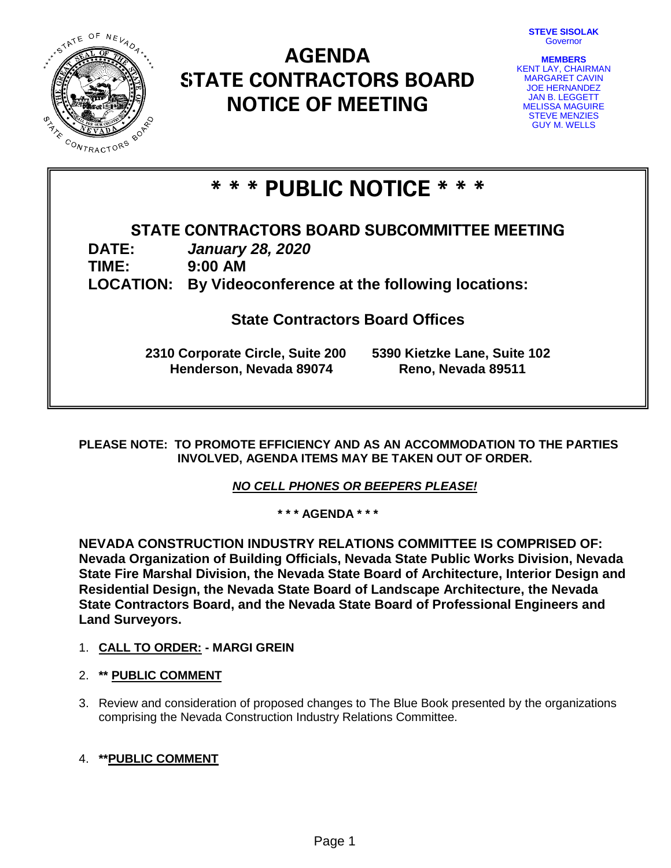**STEVE SISOLAK** Governor



# **AGENDA STATE CONTRACTORS BOARD NOTICE OF MEETING**

| <b>MEMBERS</b>            |
|---------------------------|
| <b>KENT LAY, CHAIRMAN</b> |
| <b>MARGARET CAVIN</b>     |
| <b>JOE HERNANDEZ</b>      |
| <b>JAN B. LEGGETT</b>     |
| <b>MELISSA MAGUIRE</b>    |
| <b>STEVE MENZIES</b>      |
| <b>GUY M. WELLS</b>       |

# **\* \* \* PUBLIC NOTICE \* \* \***

# **STATE CONTRACTORS BOARD SUBCOMMITTEE MEETING**

**DATE:** *January 28, 2020*

**TIME: 9:00 AM**

**LOCATION: By Videoconference at the following locations:**

**State Contractors Board Offices**

**2310 Corporate Circle, Suite 200 5390 Kietzke Lane, Suite 102 Henderson, Nevada 89074 Reno, Nevada 89511**

**PLEASE NOTE: TO PROMOTE EFFICIENCY AND AS AN ACCOMMODATION TO THE PARTIES INVOLVED, AGENDA ITEMS MAY BE TAKEN OUT OF ORDER.**

*NO CELL PHONES OR BEEPERS PLEASE!* 

**\* \* \* AGENDA \* \* \***

**NEVADA CONSTRUCTION INDUSTRY RELATIONS COMMITTEE IS COMPRISED OF: Nevada Organization of Building Officials, Nevada State Public Works Division, Nevada State Fire Marshal Division, the Nevada State Board of Architecture, Interior Design and Residential Design, the Nevada State Board of Landscape Architecture, the Nevada State Contractors Board, and the Nevada State Board of Professional Engineers and Land Surveyors.**

- 1. **CALL TO ORDER: - MARGI GREIN**
- 2. **\*\* PUBLIC COMMENT**
- 3. Review and consideration of proposed changes to The Blue Book presented by the organizations comprising the Nevada Construction Industry Relations Committee.

## 4. **\*\*PUBLIC COMMENT**